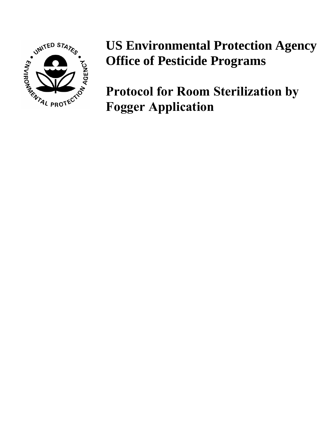

# **US Environmental Protection Agency Office of Pesticide Programs**

**Protocol for Room Sterilization by Fogger Application**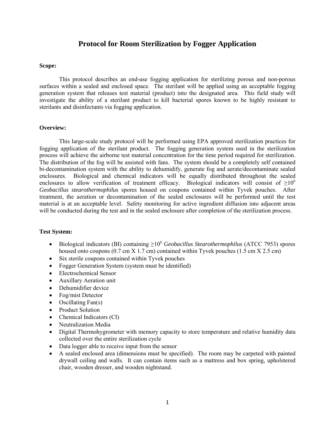# **Protocol for Room Sterilization by Fogger Application**

#### **Scope:**

This protocol describes an end-use fogging application for sterilizing porous and non-porous surfaces within a sealed and enclosed space. The sterilant will be applied using an acceptable fogging generation system that releases test material (product) into the designated area. This field study will investigate the ability of a sterilant product to kill bacterial spores known to be highly resistant to sterilants and disinfectants via fogging application.

#### **Overview:**

This large-scale study protocol will be performed using EPA approved sterilization practices for fogging application of the sterilant product. The fogging generation system used in the sterilization process will achieve the airborne test material concentration for the time period required for sterilization. The distribution of the fog will be assisted with fans. The system should be a completely self contained bi-decontamination system with the ability to dehumidify, generate fog and aerate/decontaminate sealed enclosures. Biological and chemical indicators will be equally distributed throughout the sealed enclosures to allow verification of treatment efficacy. Biological indicators will consist of  $\geq 10^6$ *Geobacillus stearothermophilus* spores housed on coupons contained within Tyvek pouches. After treatment, the aeration or decontamination of the sealed enclosures will be performed until the test material is at an acceptable level. Safety monitoring for active ingredient diffusion into adjacent areas will be conducted during the test and in the sealed enclosure after completion of the sterilization process.

# **Test System:**

- Biological indicators (BI) containing ≥10<sup>6</sup> *Geobacillus Stearothermophilus* (ATCC 7953) spores housed onto coupons  $(0.7 \text{ cm X } 1.7 \text{ cm})$  contained within Tyvek pouches  $(1.5 \text{ cm X } 2.5 \text{ cm})$
- Six sterile coupons contained within Tyvek pouches
- Fogger Generation System (system must be identified)
- Electrochemical Sensor
- Auxillary Aeration unit
- Dehumidifier device
- Fog/mist Detector
- Oscillating Fan(s)
- Product Solution
- Chemical Indicators (CI)
- Neutralization Media
- Digital Thermohygrometer with memory capacity to store temperature and relative humidity data collected over the entire sterilization cycle
- Data logger able to receive input from the sensor
- A sealed enclosed area (dimensions must be specified). The room may be carpeted with painted drywall ceiling and walls. It can contain items such as a mattress and box spring, upholstered chair, wooden dresser, and wooden nightstand.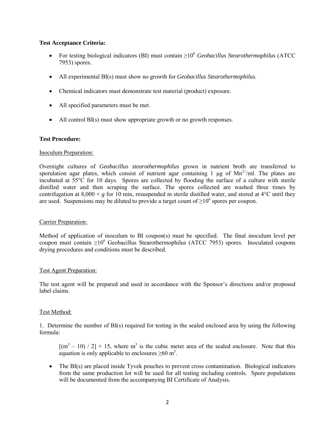### **Test Acceptance Criteria:**

- For testing biological indicators (BI) must contain ≥106 *Geobacillus Stearothermophilus* (ATCC 7953) spores.
- All experimental BI(s) must show no growth for *Geobacillus Stearothermophilus*.
- Chemical indicators must demonstrate test material (product) exposure.
- All specified parameters must be met.
- All control BI(s) must show appropriate growth or no growth responses.

#### **Test Procedure:**

#### Inoculum Preparation:

Overnight cultures of *Geobacillus stearothermophilus* grown in nutrient broth are transferred to sporulation agar plates, which consist of nutrient agar containing 1 μg of  $Mn^{2+}/m$ . The plates are incubated at 55°C for 10 days. Spores are collected by flooding the surface of a culture with sterile distilled water and then scraping the surface. The spores collected are washed three times by centrifugation at  $8,000 \times g$  for 10 min, resuspended in sterile distilled water, and stored at 4<sup>o</sup>C until they are used. Suspensions may be diluted to provide a target count of  $\geq 10^6$  spores per coupon.

#### Carrier Preparation:

Method of application of inoculum to BI coupon(s) must be specified. The final inoculum level per coupon must contain  $\geq 10^6$  Geobacillus Stearothermophilus (ATCC 7953) spores. Inoculated coupons drying procedures and conditions must be described.

#### Test Agent Preparation:

The test agent will be prepared and used in accordance with the Sponsor's directions and/or proposed label claims.

# Test Method:

1. Determine the number of BI(s) required for testing in the sealed enclosed area by using the following formula:

 $[(m<sup>3</sup> - 10) / 2] + 15$ , where m<sup>3</sup> is the cubic meter area of the sealed enclosure. Note that this equation is only applicable to enclosures  $\geq 60$  m<sup>3</sup>.

• The BI(s) are placed inside Tyvek pouches to prevent cross contamination. Biological indicators from the same production lot will be used for all testing including controls. Spore populations will be documented from the accompanying BI Certificate of Analysis.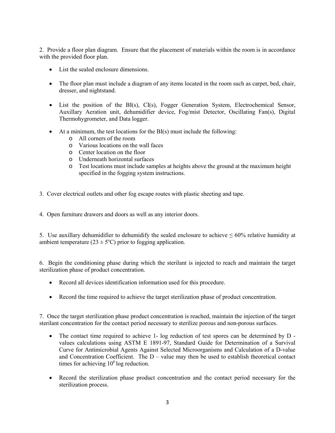2. Provide a floor plan diagram. Ensure that the placement of materials within the room is in accordance with the provided floor plan.

- List the sealed enclosure dimensions.
- The floor plan must include a diagram of any items located in the room such as carpet, bed, chair, dresser, and nightstand.
- List the position of the BI(s), CI(s), Fogger Generation System, Electrochemical Sensor, Auxillary Aeration unit, dehumidifier device, Fog/mist Detector, Oscillating Fan(s), Digital Thermohygrometer, and Data logger.
- At a minimum, the test locations for the BI(s) must include the following:
	- o All corners of the room
	- o Various locations on the wall faces
	- o Center location on the floor
	- o Underneath horizontal surfaces
	- o Test locations must include samples at heights above the ground at the maximum height specified in the fogging system instructions.
- 3. Cover electrical outlets and other fog escape routes with plastic sheeting and tape.
- 4. Open furniture drawers and doors as well as any interior doors.

5. Use auxillary dehumidifier to dehumidify the sealed enclosure to achieve  $\leq 60\%$  relative humidity at ambient temperature ( $23 \pm 5$ °C) prior to fogging application.

6. Begin the conditioning phase during which the sterilant is injected to reach and maintain the target sterilization phase of product concentration.

- Record all devices identification information used for this procedure.
- Record the time required to achieve the target sterilization phase of product concentration.

7. Once the target sterilization phase product concentration is reached, maintain the injection of the target sterilant concentration for the contact period necessary to sterilize porous and non-porous surfaces.

- The contact time required to achieve 1- log reduction of test spores can be determined by D values calculations using ASTM E 1891-97, Standard Guide for Determination of a Survival Curve for Antimicrobial Agents Against Selected Microorganisms and Calculation of a D-value and Concentration Coefficient. The  $D$  – value may then be used to establish theoretical contact times for achieving  $10^6$  log reduction.
- Record the sterilization phase product concentration and the contact period necessary for the sterilization process.